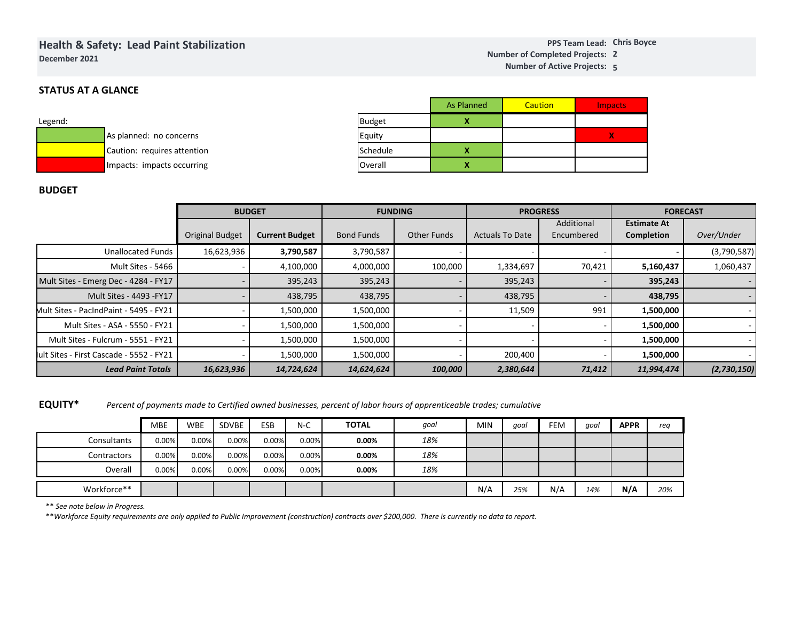# **Health & Safety: Lead Paint Stabilization**

**December 2021**

## **STATUS AT A GLANCE**

| Legend: |                             |
|---------|-----------------------------|
|         | As planned: no concerns     |
|         | Caution: requires attention |
|         | Impacts: impacts occurring  |

|               | <b>As Planned</b> | Caution | <b>Impacts</b> |
|---------------|-------------------|---------|----------------|
| <b>Budget</b> |                   |         |                |
| Equity        |                   |         |                |
| Schedule      |                   |         |                |
| Overall       |                   |         |                |

### **BUDGET**

|                                          |                        | <b>BUDGET</b>         |                   | <b>FUNDING</b>     |                        | <b>PROGRESS</b> | <b>FORECAST</b>    |                          |  |
|------------------------------------------|------------------------|-----------------------|-------------------|--------------------|------------------------|-----------------|--------------------|--------------------------|--|
|                                          |                        |                       |                   |                    |                        | Additional      | <b>Estimate At</b> |                          |  |
|                                          | <b>Original Budget</b> | <b>Current Budget</b> | <b>Bond Funds</b> | <b>Other Funds</b> | <b>Actuals To Date</b> | Encumbered      | Completion         | Over/Under               |  |
| <b>Unallocated Funds</b>                 | 16,623,936             | 3,790,587             | 3,790,587         |                    |                        |                 |                    | (3,790,587)              |  |
| Mult Sites - 5466                        |                        | 4,100,000             | 4,000,000         | 100,000            | 1,334,697              | 70,421          | 5,160,437          | 1,060,437                |  |
| Mult Sites - Emerg Dec - 4284 - FY17     |                        | 395,243               | 395,243           |                    | 395,243                |                 | 395,243            |                          |  |
| Mult Sites - 4493 - FY17                 |                        | 438,795               | 438,795           |                    | 438,795                |                 | 438,795            | $\overline{\phantom{a}}$ |  |
| Mult Sites - PacIndPaint - 5495 - FY21   |                        | 1,500,000             | 1,500,000         |                    | 11,509                 | 991             | 1,500,000          |                          |  |
| Mult Sites - ASA - 5550 - FY21           |                        | 1,500,000             | 1,500,000         |                    |                        |                 | 1,500,000          |                          |  |
| Mult Sites - Fulcrum - 5551 - FY21       |                        | 1,500,000             | 1,500,000         |                    |                        |                 | 1,500,000          |                          |  |
| lult Sites - First Cascade - 5552 - FY21 |                        | 1,500,000             | 1,500,000         |                    | 200,400                |                 | 1,500,000          |                          |  |
| <b>Lead Paint Totals</b>                 | 16,623,936             | 14,724,624            | 14,624,624        | 100,000            | 2,380,644              | 71,412          | 11,994,474         | (2,730,150)              |  |

**EQUITY\****Percent of payments made to Certified owned businesses, percent of labor hours of apprenticeable trades; cumulative*

|             | <b>MBE</b> | <b>WBE</b> | SDVBE | <b>ESB</b> | $N-C$    | <b>TOTAL</b> | qoal | <b>MIN</b> | qoal | FEM | goal | <b>APPR</b> | rea |
|-------------|------------|------------|-------|------------|----------|--------------|------|------------|------|-----|------|-------------|-----|
| Consultants | 0.00%      | 0.00%      | 0.00% | 0.00%      | 0.00%    | 0.00%        | 18%  |            |      |     |      |             |     |
| Contractors | 0.00%      | 0.00%      | 0.00% | 0.00%      | $0.00\%$ | 0.00%        | 18%  |            |      |     |      |             |     |
| Overall     | 0.00%      | 0.00%      | 0.00% | 0.00%      | 0.00%    | 0.00%        | 18%  |            |      |     |      |             |     |
| Workforce** |            |            |       |            |          |              |      | N/A        | 25%  | N/A | 14%  | N/A         | 20% |

\*\* *See note below in Progress.*

\*\**Workforce Equity requirements are only applied to Public Improvement (construction) contracts over \$200,000. There is currently no data to report.*